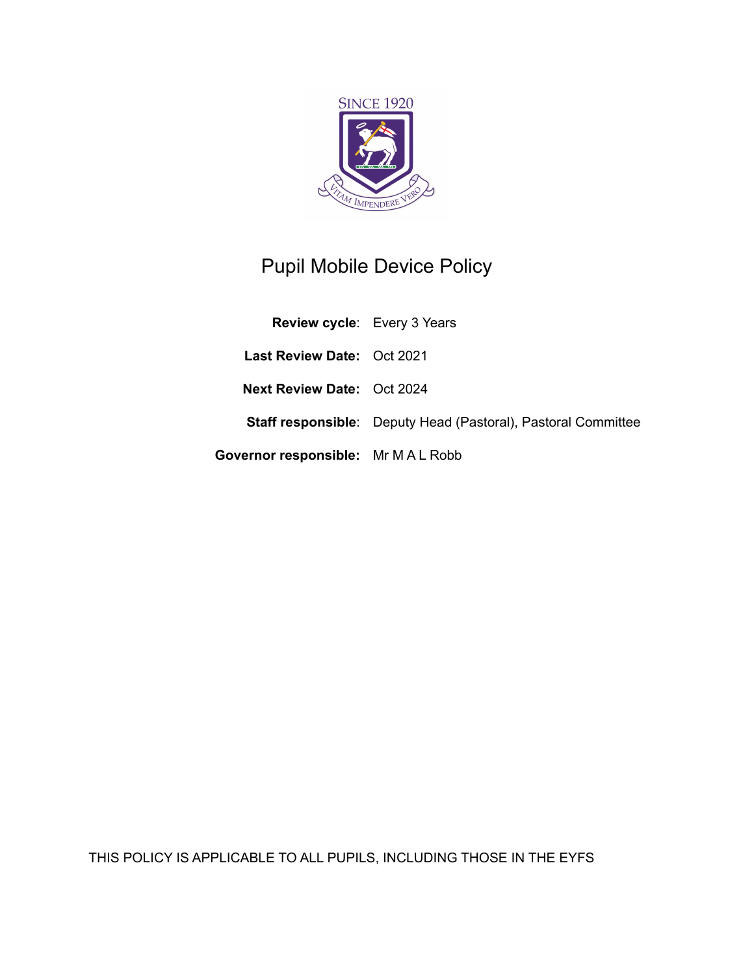

# Pupil Mobile Device Policy

| <b>Review cycle:</b> Every 3 Years         |                                                                      |
|--------------------------------------------|----------------------------------------------------------------------|
| <b>Last Review Date: Oct 2021</b>          |                                                                      |
| <b>Next Review Date: Oct 2024</b>          |                                                                      |
|                                            | <b>Staff responsible:</b> Deputy Head (Pastoral), Pastoral Committee |
| <b>Governor responsible:</b> Mr M A L Robb |                                                                      |

THIS POLICY IS APPLICABLE TO ALL PUPILS, INCLUDING THOSE IN THE EYFS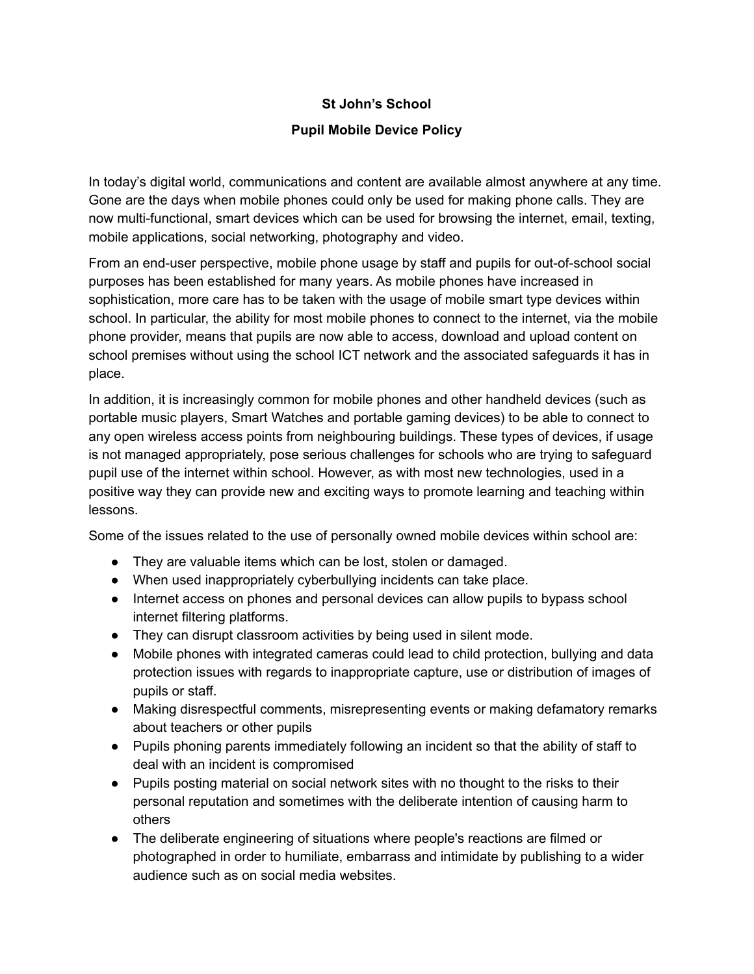## **St John's School**

### **Pupil Mobile Device Policy**

In today's digital world, communications and content are available almost anywhere at any time. Gone are the days when mobile phones could only be used for making phone calls. They are now multi-functional, smart devices which can be used for browsing the internet, email, texting, mobile applications, social networking, photography and video.

From an end-user perspective, mobile phone usage by staff and pupils for out-of-school social purposes has been established for many years. As mobile phones have increased in sophistication, more care has to be taken with the usage of mobile smart type devices within school. In particular, the ability for most mobile phones to connect to the internet, via the mobile phone provider, means that pupils are now able to access, download and upload content on school premises without using the school ICT network and the associated safeguards it has in place.

In addition, it is increasingly common for mobile phones and other handheld devices (such as portable music players, Smart Watches and portable gaming devices) to be able to connect to any open wireless access points from neighbouring buildings. These types of devices, if usage is not managed appropriately, pose serious challenges for schools who are trying to safeguard pupil use of the internet within school. However, as with most new technologies, used in a positive way they can provide new and exciting ways to promote learning and teaching within lessons.

Some of the issues related to the use of personally owned mobile devices within school are:

- They are valuable items which can be lost, stolen or damaged.
- When used inappropriately cyberbullying incidents can take place.
- Internet access on phones and personal devices can allow pupils to bypass school internet filtering platforms.
- They can disrupt classroom activities by being used in silent mode.
- Mobile phones with integrated cameras could lead to child protection, bullying and data protection issues with regards to inappropriate capture, use or distribution of images of pupils or staff.
- Making disrespectful comments, misrepresenting events or making defamatory remarks about teachers or other pupils
- Pupils phoning parents immediately following an incident so that the ability of staff to deal with an incident is compromised
- Pupils posting material on social network sites with no thought to the risks to their personal reputation and sometimes with the deliberate intention of causing harm to others
- The deliberate engineering of situations where people's reactions are filmed or photographed in order to humiliate, embarrass and intimidate by publishing to a wider audience such as on social media websites.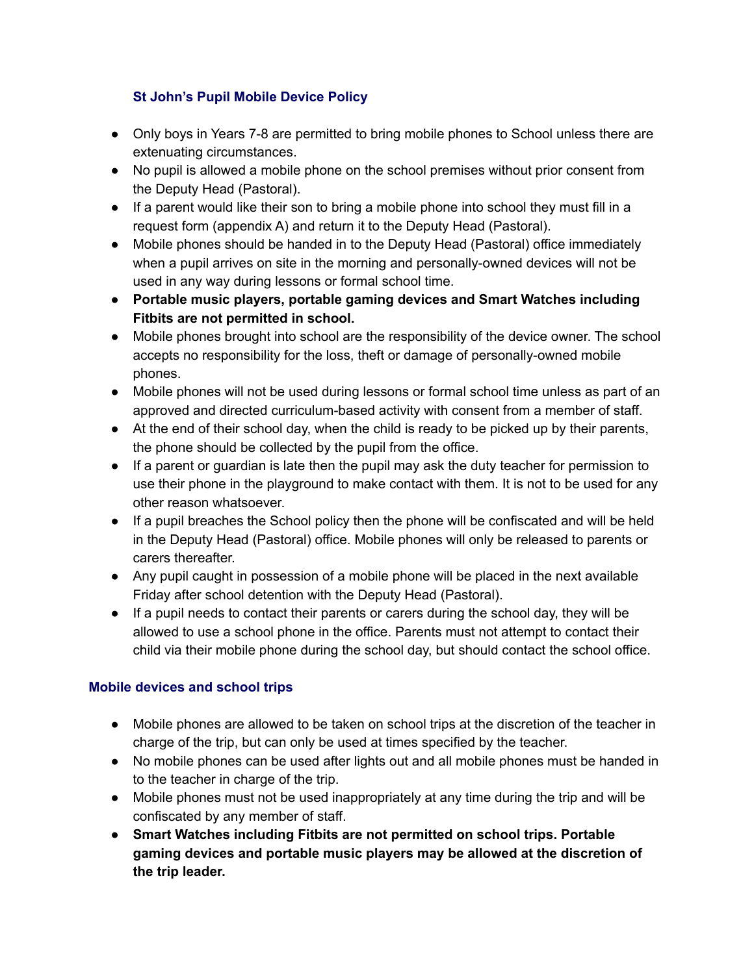# **St John's Pupil Mobile Device Policy**

- Only boys in Years 7-8 are permitted to bring mobile phones to School unless there are extenuating circumstances.
- No pupil is allowed a mobile phone on the school premises without prior consent from the Deputy Head (Pastoral).
- If a parent would like their son to bring a mobile phone into school they must fill in a request form (appendix A) and return it to the Deputy Head (Pastoral).
- Mobile phones should be handed in to the Deputy Head (Pastoral) office immediately when a pupil arrives on site in the morning and personally-owned devices will not be used in any way during lessons or formal school time.
- **● Portable music players, portable gaming devices and Smart Watches including Fitbits are not permitted in school.**
- Mobile phones brought into school are the responsibility of the device owner. The school accepts no responsibility for the loss, theft or damage of personally-owned mobile phones.
- Mobile phones will not be used during lessons or formal school time unless as part of an approved and directed curriculum-based activity with consent from a member of staff.
- At the end of their school day, when the child is ready to be picked up by their parents, the phone should be collected by the pupil from the office.
- If a parent or guardian is late then the pupil may ask the duty teacher for permission to use their phone in the playground to make contact with them. It is not to be used for any other reason whatsoever.
- If a pupil breaches the School policy then the phone will be confiscated and will be held in the Deputy Head (Pastoral) office. Mobile phones will only be released to parents or carers thereafter.
- Any pupil caught in possession of a mobile phone will be placed in the next available Friday after school detention with the Deputy Head (Pastoral).
- If a pupil needs to contact their parents or carers during the school day, they will be allowed to use a school phone in the office. Parents must not attempt to contact their child via their mobile phone during the school day, but should contact the school office.

# **Mobile devices and school trips**

- Mobile phones are allowed to be taken on school trips at the discretion of the teacher in charge of the trip, but can only be used at times specified by the teacher.
- No mobile phones can be used after lights out and all mobile phones must be handed in to the teacher in charge of the trip.
- Mobile phones must not be used inappropriately at any time during the trip and will be confiscated by any member of staff.
- **Smart Watches including Fitbits are not permitted on school trips. Portable gaming devices and portable music players may be allowed at the discretion of the trip leader.**